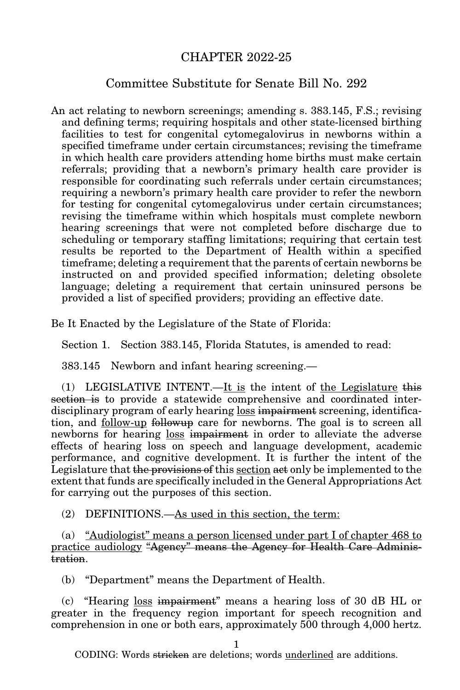## CHAPTER 2022-25

## Committee Substitute for Senate Bill No. 292

An act relating to newborn screenings; amending s. 383.145, F.S.; revising and defining terms; requiring hospitals and other state-licensed birthing facilities to test for congenital cytomegalovirus in newborns within a specified timeframe under certain circumstances; revising the timeframe in which health care providers attending home births must make certain referrals; providing that a newborn's primary health care provider is responsible for coordinating such referrals under certain circumstances; requiring a newborn's primary health care provider to refer the newborn for testing for congenital cytomegalovirus under certain circumstances; revising the timeframe within which hospitals must complete newborn hearing screenings that were not completed before discharge due to scheduling or temporary staffing limitations; requiring that certain test results be reported to the Department of Health within a specified timeframe; deleting a requirement that the parents of certain newborns be instructed on and provided specified information; deleting obsolete language; deleting a requirement that certain uninsured persons be provided a list of specified providers; providing an effective date.

Be It Enacted by the Legislature of the State of Florida:

Section 1. Section 383.145, Florida Statutes, is amended to read:

383.145 Newborn and infant hearing screening.—

(1) LEGISLATIVE INTENT.—It is the intent of the Legislature this section is to provide a statewide comprehensive and coordinated interdisciplinary program of early hearing loss impairment screening, identification, and <u>follow-up</u> followup care for newborns. The goal is to screen all newborns for hearing loss impairment in order to alleviate the adverse effects of hearing loss on speech and language development, academic performance, and cognitive development. It is further the intent of the Legislature that the provisions of this <u>section</u> act only be implemented to the extent that funds are specifically included in the General Appropriations Act for carrying out the purposes of this section.

(2) DEFINITIONS.—As used in this section, the term:

(a) "Audiologist" means a person licensed under part I of chapter 468 to practice audiology "Agency" means the Agency for Health Care Administration.

(b) "Department" means the Department of Health.

(c) "Hearing loss impairment" means a hearing loss of 30 dB HL or greater in the frequency region important for speech recognition and comprehension in one or both ears, approximately 500 through 4,000 hertz.

1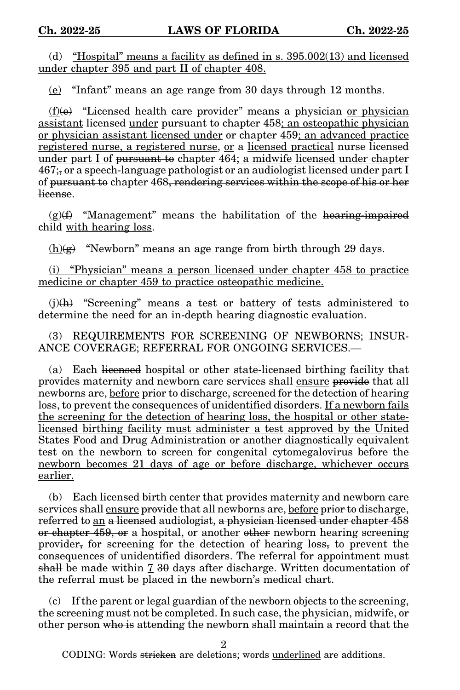(d) "Hospital" means a facility as defined in s. 395.002(13) and licensed under chapter 395 and part II of chapter 408.

(e) "Infant" means an age range from 30 days through 12 months.

 $(f)(e)$  "Licensed health care provider" means a physician or physician assistant licensed under pursuant to chapter 458; an osteopathic physician or physician assistant licensed under or chapter 459; an advanced practice registered nurse, a registered nurse, or a licensed practical nurse licensed under part I of pursuant to chapter 464; a midwife licensed under chapter 467;, or a speech-language pathologist or an audiologist licensed under part I of pursuant to chapter 468, rendering services within the scope of his or her license.

 $(g)(f)$  "Management" means the habilitation of the hearing-impaired child with hearing loss.

 $(h)(g)$  "Newborn" means an age range from birth through 29 days.

(i) "Physician" means a person licensed under chapter 458 to practice medicine or chapter 459 to practice osteopathic medicine.

 $(i)$ (h) "Screening" means a test or battery of tests administered to determine the need for an in-depth hearing diagnostic evaluation.

(3) REQUIREMENTS FOR SCREENING OF NEWBORNS; INSUR-ANCE COVERAGE; REFERRAL FOR ONGOING SERVICES.—

(a) Each licensed hospital or other state-licensed birthing facility that provides maternity and newborn care services shall ensure provide that all newborns are, before <del>prior to</del> discharge, screened for the detection of hearing loss, to prevent the consequences of unidentified disorders. If a newborn fails the screening for the detection of hearing loss, the hospital or other statelicensed birthing facility must administer a test approved by the United States Food and Drug Administration or another diagnostically equivalent test on the newborn to screen for congenital cytomegalovirus before the newborn becomes 21 days of age or before discharge, whichever occurs earlier.

(b) Each licensed birth center that provides maternity and newborn care services shall ensure provide that all newborns are, before prior to discharge, referred to an a licensed audiologist, a physician licensed under chapter 458 or chapter 459, or a hospital, or another other newborn hearing screening provider, for screening for the detection of hearing loss, to prevent the consequences of unidentified disorders. The referral for appointment must shall be made within  $7\,30$  days after discharge. Written documentation of the referral must be placed in the newborn's medical chart.

(c) If the parent or legal guardian of the newborn objects to the screening, the screening must not be completed. In such case, the physician, midwife, or other person who is attending the newborn shall maintain a record that the

2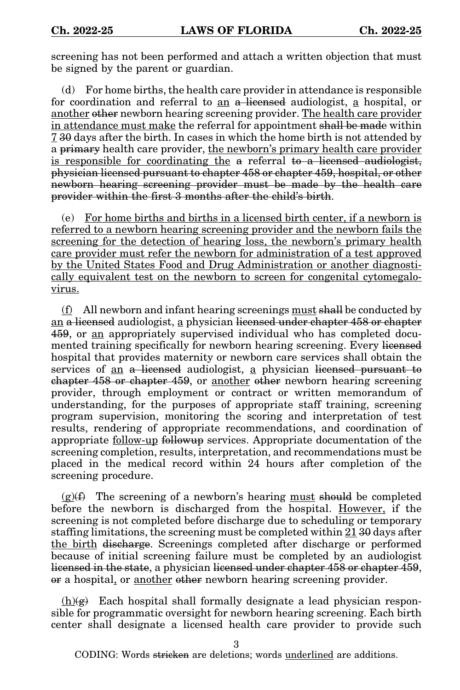screening has not been performed and attach a written objection that must be signed by the parent or guardian.

(d) For home births, the health care provider in attendance is responsible for coordination and referral to an a licensed audiologist, a hospital, or another other newborn hearing screening provider. The health care provider in attendance must make the referral for appointment shall be made within 7 30 days after the birth. In cases in which the home birth is not attended by a primary health care provider, the newborn's primary health care provider is responsible for coordinating the a referral to a licensed audiologist, physician licensed pursuant to chapter 458 or chapter 459, hospital, or other newborn hearing screening provider must be made by the health care provider within the first 3 months after the child's birth.

(e) For home births and births in a licensed birth center, if a newborn is referred to a newborn hearing screening provider and the newborn fails the screening for the detection of hearing loss, the newborn's primary health care provider must refer the newborn for administration of a test approved by the United States Food and Drug Administration or another diagnostically equivalent test on the newborn to screen for congenital cytomegalovirus.

 $(f)$  All newborn and infant hearing screenings must shall be conducted by an a licensed audiologist, a physician licensed under chapter 458 or chapter 459, or an appropriately supervised individual who has completed documented training specifically for newborn hearing screening. Every licensed hospital that provides maternity or newborn care services shall obtain the services of an a licensed audiologist, a physician licensed pursuant to chapter 458 or chapter 459, or another other newborn hearing screening provider, through employment or contract or written memorandum of understanding, for the purposes of appropriate staff training, screening program supervision, monitoring the scoring and interpretation of test results, rendering of appropriate recommendations, and coordination of appropriate follow-up followup services. Appropriate documentation of the screening completion, results, interpretation, and recommendations must be placed in the medical record within 24 hours after completion of the screening procedure.

 $(g)(f)$  The screening of a newborn's hearing must should be completed before the newborn is discharged from the hospital. However, if the screening is not completed before discharge due to scheduling or temporary staffing limitations, the screening must be completed within 21 30 days after the birth discharge. Screenings completed after discharge or performed because of initial screening failure must be completed by an audiologist licensed in the state, a physician licensed under chapter 458 or chapter 459, or a hospital, or <u>another</u> other newborn hearing screening provider.

 $(h)(g)$  Each hospital shall formally designate a lead physician responsible for programmatic oversight for newborn hearing screening. Each birth center shall designate a licensed health care provider to provide such

3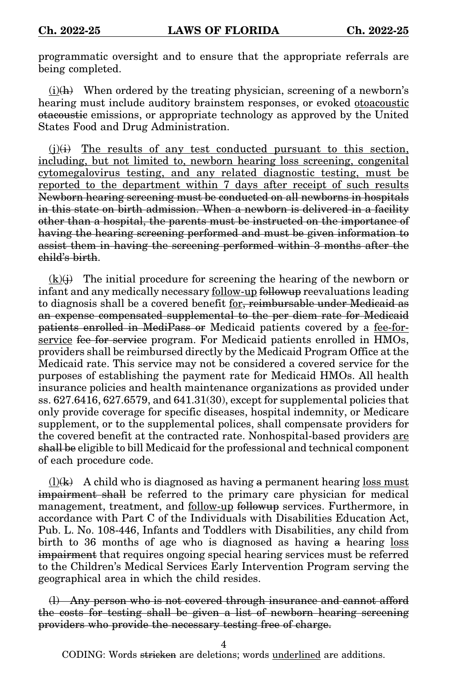programmatic oversight and to ensure that the appropriate referrals are being completed.

 $(i)$ (h) When ordered by the treating physician, screening of a newborn's hearing must include auditory brainstem responses, or evoked otoacoustic otacoustic emissions, or appropriate technology as approved by the United States Food and Drug Administration.

 $(j)(i)$  The results of any test conducted pursuant to this section, including, but not limited to, newborn hearing loss screening, congenital cytomegalovirus testing, and any related diagnostic testing, must be reported to the department within 7 days after receipt of such results Newborn hearing screening must be conducted on all newborns in hospitals in this state on birth admission. When a newborn is delivered in a facility other than a hospital, the parents must be instructed on the importance of having the hearing screening performed and must be given information to assist them in having the screening performed within 3 months after the child's birth.

 $(k)(i)$  The initial procedure for screening the hearing of the newborn or infant and any medically necessary follow-up followup reevaluations leading to diagnosis shall be a covered benefit for, reimbursable under Medicaid as an expense compensated supplemental to the per diem rate for Medicaid patients enrolled in MediPass or Medicaid patients covered by a fee-forservice fee for service program. For Medicaid patients enrolled in HMOs, providers shall be reimbursed directly by the Medicaid Program Office at the Medicaid rate. This service may not be considered a covered service for the purposes of establishing the payment rate for Medicaid HMOs. All health insurance policies and health maintenance organizations as provided under ss. 627.6416, 627.6579, and 641.31(30), except for supplemental policies that only provide coverage for specific diseases, hospital indemnity, or Medicare supplement, or to the supplemental polices, shall compensate providers for the covered benefit at the contracted rate. Nonhospital-based providers are shall be eligible to bill Medicaid for the professional and technical component of each procedure code.

 $(l)(k)$  A child who is diagnosed as having a permanent hearing loss must impairment shall be referred to the primary care physician for medical management, treatment, and follow-up followup services. Furthermore, in accordance with Part C of the Individuals with Disabilities Education Act, Pub. L. No. 108-446, Infants and Toddlers with Disabilities, any child from birth to 36 months of age who is diagnosed as having a hearing loss impairment that requires ongoing special hearing services must be referred to the Children's Medical Services Early Intervention Program serving the geographical area in which the child resides.

(l) Any person who is not covered through insurance and cannot afford the costs for testing shall be given a list of newborn hearing screening providers who provide the necessary testing free of charge.

4